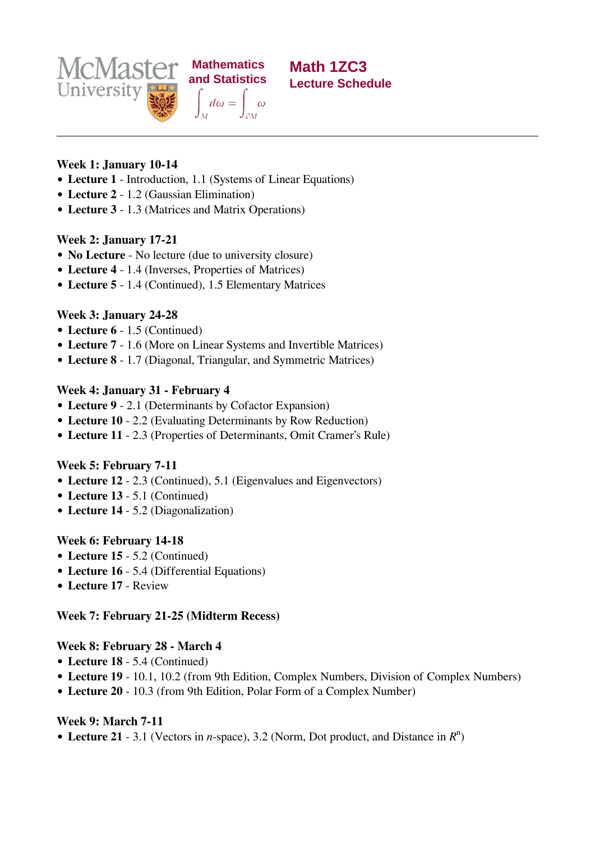



### **Week 1: January 10-14**

- **Lecture 1** Introduction, 1.1 (Systems of Linear Equations)
- **Lecture 2** 1.2 (Gaussian Elimination)
- **Lecture 3** 1.3 (Matrices and Matrix Operations)

### **Week 2: January 17-21**

- **No Lecture** No lecture (due to university closure)
- **Lecture 4** 1.4 (Inverses, Properties of Matrices)
- **Lecture 5** 1.4 (Continued), 1.5 Elementary Matrices

# **Week 3: January 24-28**

- **Lecture 6** 1.5 (Continued)
- **Lecture 7** 1.6 (More on Linear Systems and Invertible Matrices)
- **Lecture 8** 1.7 (Diagonal, Triangular, and Symmetric Matrices)

### **Week 4: January 31 - February 4**

- **Lecture 9** 2.1 (Determinants by Cofactor Expansion)
- **Lecture 10** 2.2 (Evaluating Determinants by Row Reduction)
- **Lecture 11** 2.3 (Properties of Determinants, Omit Cramer's Rule)

### **Week 5: February 7-11**

- **Lecture 12** 2.3 (Continued), 5.1 (Eigenvalues and Eigenvectors)
- **Lecture 13** 5.1 (Continued)
- **Lecture 14** 5.2 (Diagonalization)

# **Week 6: February 14-18**

- **Lecture 15** 5.2 (Continued)
- **Lecture 16** 5.4 (Differential Equations)
- **Lecture 17** Review

# **Week 7: February 21-25 (Midterm Recess)**

# **Week 8: February 28 - March 4**

- **Lecture 18** 5.4 (Continued)
- **Lecture 19** 10.1, 10.2 (from 9th Edition, Complex Numbers, Division of Complex Numbers)
- **Lecture 20** 10.3 (from 9th Edition, Polar Form of a Complex Number)

# **Week 9: March 7-11**

**Lecture 21** - 3.1 (Vectors in *n*-space), 3.2 (Norm, Dot product, and Distance in  $R<sup>n</sup>$ )